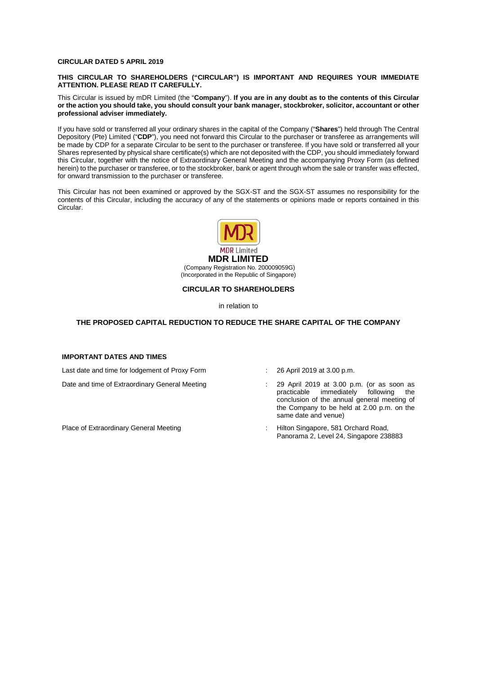#### **CIRCULAR DATED 5 APRIL 2019**

#### **THIS CIRCULAR TO SHAREHOLDERS ("CIRCULAR") IS IMPORTANT AND REQUIRES YOUR IMMEDIATE ATTENTION. PLEASE READ IT CAREFULLY.**

This Circular is issued by mDR Limited (the "**Company**"). **If you are in any doubt as to the contents of this Circular or the action you should take, you should consult your bank manager, stockbroker, solicitor, accountant or other professional adviser immediately.**

If you have sold or transferred all your ordinary shares in the capital of the Company ("**Shares**") held through The Central Depository (Pte) Limited ("**CDP**"), you need not forward this Circular to the purchaser or transferee as arrangements will be made by CDP for a separate Circular to be sent to the purchaser or transferee. If you have sold or transferred all your Shares represented by physical share certificate(s) which are not deposited with the CDP, you should immediately forward this Circular, together with the notice of Extraordinary General Meeting and the accompanying Proxy Form (as defined herein) to the purchaser or transferee, or to the stockbroker, bank or agent through whom the sale or transfer was effected, for onward transmission to the purchaser or transferee.

This Circular has not been examined or approved by the SGX-ST and the SGX-ST assumes no responsibility for the contents of this Circular, including the accuracy of any of the statements or opinions made or reports contained in this Circular.



(Incorporated in the Republic of Singapore)

#### **CIRCULAR TO SHAREHOLDERS**

in relation to

#### **THE PROPOSED CAPITAL REDUCTION TO REDUCE THE SHARE CAPITAL OF THE COMPANY**

#### **IMPORTANT DATES AND TIMES**

Last date and time for lodgement of Proxy Form : 26 April 2019 at 3.00 p.m.

- 
- Date and time of Extraordinary General Meeting : 29 April 2019 at 3.00 p.m. (or as soon as <br>practicable immediately following the immediately following the conclusion of the annual general meeting of the Company to be held at 2.00 p.m. on the same date and venue)
- Place of Extraordinary General Meeting in the state of Hilton Singapore, 581 Orchard Road, Panorama 2, Level 24, Singapore 238883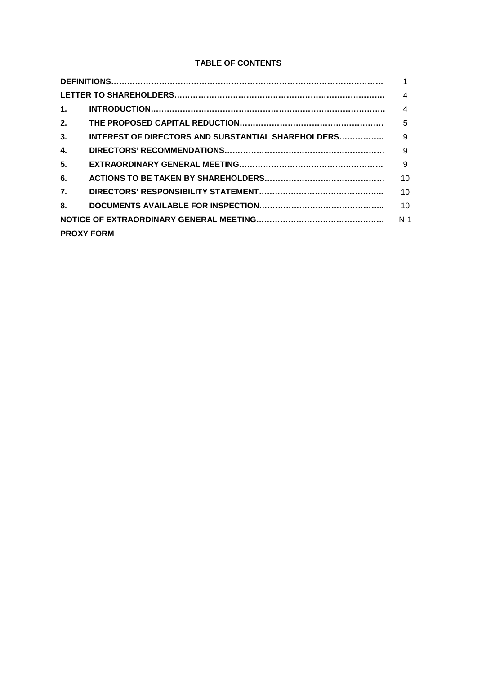## **TABLE OF CONTENTS**

|                  |                                                    | 1               |
|------------------|----------------------------------------------------|-----------------|
|                  |                                                    | 4               |
| $\mathbf 1$ .    |                                                    | $\overline{4}$  |
| 2.               |                                                    | 5               |
| 3.               | INTEREST OF DIRECTORS AND SUBSTANTIAL SHAREHOLDERS | 9               |
| 4.               |                                                    | 9               |
| 5.               |                                                    | 9               |
| 6.               |                                                    | 10 <sup>1</sup> |
| $\overline{7}$ . |                                                    | 10              |
| 8.               |                                                    | 10              |
|                  |                                                    | $N-1$           |
|                  | <b>PROXY FORM</b>                                  |                 |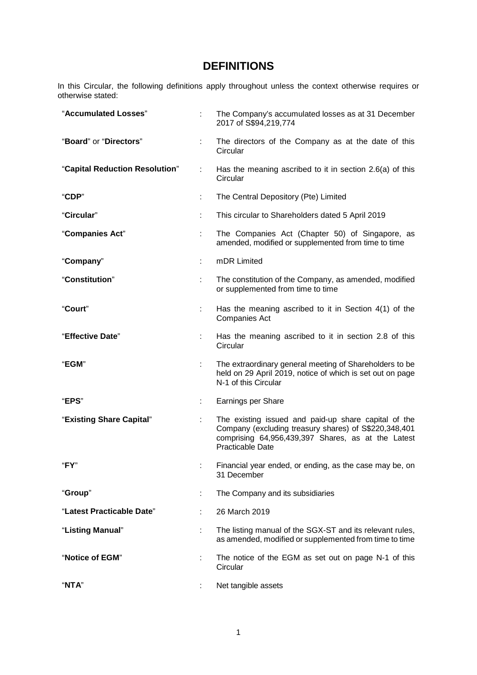# **DEFINITIONS**

In this Circular, the following definitions apply throughout unless the context otherwise requires or otherwise stated:

| "Accumulated Losses"           |    | The Company's accumulated losses as at 31 December<br>2017 of S\$94,219,774                                                                                                                    |
|--------------------------------|----|------------------------------------------------------------------------------------------------------------------------------------------------------------------------------------------------|
| "Board" or "Directors"         | ÷  | The directors of the Company as at the date of this<br>Circular                                                                                                                                |
| "Capital Reduction Resolution" | ÷. | Has the meaning ascribed to it in section 2.6(a) of this<br>Circular                                                                                                                           |
| "CDP"                          | ÷  | The Central Depository (Pte) Limited                                                                                                                                                           |
| "Circular"                     | t  | This circular to Shareholders dated 5 April 2019                                                                                                                                               |
| "Companies Act"                |    | The Companies Act (Chapter 50) of Singapore, as<br>amended, modified or supplemented from time to time                                                                                         |
| "Company"                      |    | mDR Limited                                                                                                                                                                                    |
| "Constitution"                 | ÷  | The constitution of the Company, as amended, modified<br>or supplemented from time to time                                                                                                     |
| "Court"                        | ÷  | Has the meaning ascribed to it in Section 4(1) of the<br><b>Companies Act</b>                                                                                                                  |
| "Effective Date"               | ÷  | Has the meaning ascribed to it in section 2.8 of this<br>Circular                                                                                                                              |
| "EGM"                          |    | The extraordinary general meeting of Shareholders to be<br>held on 29 April 2019, notice of which is set out on page<br>N-1 of this Circular                                                   |
| "EPS"                          | ÷  | Earnings per Share                                                                                                                                                                             |
| "Existing Share Capital"       | ÷  | The existing issued and paid-up share capital of the<br>Company (excluding treasury shares) of S\$220,348,401<br>comprising 64,956,439,397 Shares, as at the Latest<br><b>Practicable Date</b> |
| "FY"                           |    | Financial year ended, or ending, as the case may be, on<br>31 December                                                                                                                         |
| "Group"                        |    | The Company and its subsidiaries                                                                                                                                                               |
| "Latest Practicable Date"      |    | 26 March 2019                                                                                                                                                                                  |
| "Listing Manual"               |    | The listing manual of the SGX-ST and its relevant rules,<br>as amended, modified or supplemented from time to time                                                                             |
| "Notice of EGM"                |    | The notice of the EGM as set out on page N-1 of this<br>Circular                                                                                                                               |
| "NTA"                          |    | Net tangible assets                                                                                                                                                                            |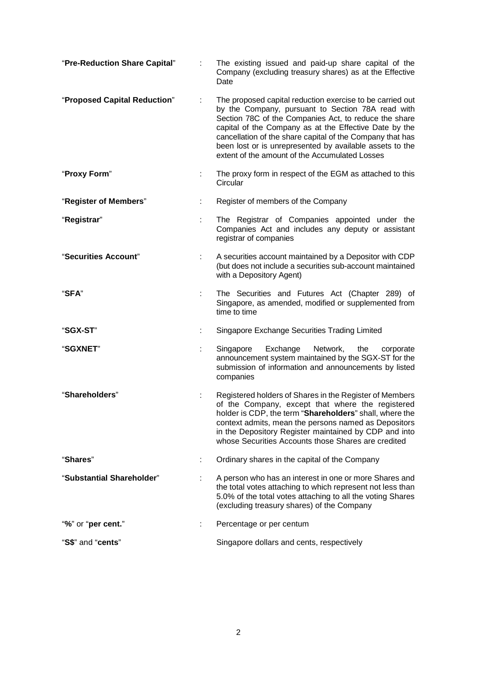| "Pre-Reduction Share Capital" |   | The existing issued and paid-up share capital of the<br>Company (excluding treasury shares) as at the Effective<br>Date                                                                                                                                                                                                                                                                                      |  |
|-------------------------------|---|--------------------------------------------------------------------------------------------------------------------------------------------------------------------------------------------------------------------------------------------------------------------------------------------------------------------------------------------------------------------------------------------------------------|--|
| "Proposed Capital Reduction"  |   | The proposed capital reduction exercise to be carried out<br>by the Company, pursuant to Section 78A read with<br>Section 78C of the Companies Act, to reduce the share<br>capital of the Company as at the Effective Date by the<br>cancellation of the share capital of the Company that has<br>been lost or is unrepresented by available assets to the<br>extent of the amount of the Accumulated Losses |  |
| "Proxy Form"                  | ÷ | The proxy form in respect of the EGM as attached to this<br>Circular                                                                                                                                                                                                                                                                                                                                         |  |
| "Register of Members"         | ÷ | Register of members of the Company                                                                                                                                                                                                                                                                                                                                                                           |  |
| "Registrar"                   |   | The Registrar of Companies appointed under the<br>Companies Act and includes any deputy or assistant<br>registrar of companies                                                                                                                                                                                                                                                                               |  |
| "Securities Account"          |   | A securities account maintained by a Depositor with CDP<br>(but does not include a securities sub-account maintained<br>with a Depository Agent)                                                                                                                                                                                                                                                             |  |
| "SFA"                         | ÷ | The Securities and Futures Act (Chapter 289) of<br>Singapore, as amended, modified or supplemented from<br>time to time                                                                                                                                                                                                                                                                                      |  |
| "SGX-ST"                      |   | Singapore Exchange Securities Trading Limited                                                                                                                                                                                                                                                                                                                                                                |  |
| "SGXNET"                      |   | Singapore<br>Exchange<br>Network,<br>the<br>corporate<br>announcement system maintained by the SGX-ST for the<br>submission of information and announcements by listed<br>companies                                                                                                                                                                                                                          |  |
| "Shareholders"                |   | Registered holders of Shares in the Register of Members<br>of the Company, except that where the registered<br>holder is CDP, the term "Shareholders" shall, where the<br>context admits, mean the persons named as Depositors<br>in the Depository Register maintained by CDP and into<br>whose Securities Accounts those Shares are credited                                                               |  |
| "Shares"                      |   | Ordinary shares in the capital of the Company                                                                                                                                                                                                                                                                                                                                                                |  |
| "Substantial Shareholder"     |   | A person who has an interest in one or more Shares and<br>the total votes attaching to which represent not less than<br>5.0% of the total votes attaching to all the voting Shares<br>(excluding treasury shares) of the Company                                                                                                                                                                             |  |
| "%" or "per cent."            |   | Percentage or per centum                                                                                                                                                                                                                                                                                                                                                                                     |  |
| "S\$" and "cents"             |   | Singapore dollars and cents, respectively                                                                                                                                                                                                                                                                                                                                                                    |  |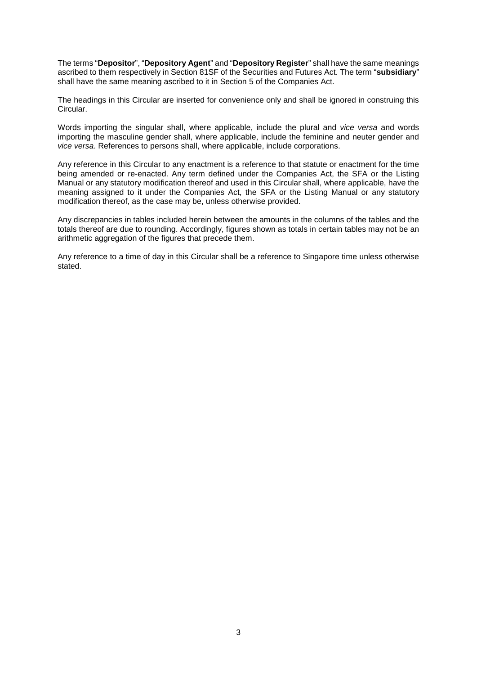The terms "**Depositor**", "**Depository Agent**" and "**Depository Register**" shall have the same meanings ascribed to them respectively in Section 81SF of the Securities and Futures Act. The term "**subsidiary**" shall have the same meaning ascribed to it in Section 5 of the Companies Act.

The headings in this Circular are inserted for convenience only and shall be ignored in construing this Circular.

Words importing the singular shall, where applicable, include the plural and *vice versa* and words importing the masculine gender shall, where applicable, include the feminine and neuter gender and *vice versa*. References to persons shall, where applicable, include corporations.

Any reference in this Circular to any enactment is a reference to that statute or enactment for the time being amended or re-enacted. Any term defined under the Companies Act, the SFA or the Listing Manual or any statutory modification thereof and used in this Circular shall, where applicable, have the meaning assigned to it under the Companies Act, the SFA or the Listing Manual or any statutory modification thereof, as the case may be, unless otherwise provided.

Any discrepancies in tables included herein between the amounts in the columns of the tables and the totals thereof are due to rounding. Accordingly, figures shown as totals in certain tables may not be an arithmetic aggregation of the figures that precede them.

Any reference to a time of day in this Circular shall be a reference to Singapore time unless otherwise stated.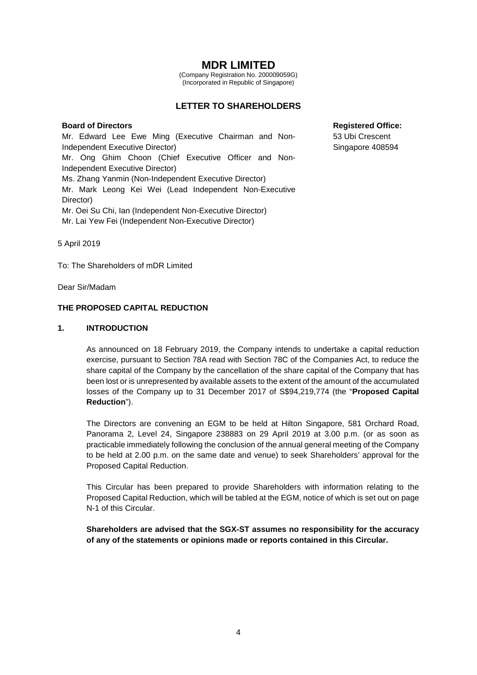# **MDR LIMITED**

(Company Registration No. 200009059G) (Incorporated in Republic of Singapore)

### **LETTER TO SHAREHOLDERS**

#### **Board of Directors Registered Office:**

Mr. Edward Lee Ewe Ming (Executive Chairman and Non-Independent Executive Director) Mr. Ong Ghim Choon (Chief Executive Officer and Non-Independent Executive Director) Ms. Zhang Yanmin (Non-Independent Executive Director) Mr. Mark Leong Kei Wei (Lead Independent Non-Executive Director) Mr. Oei Su Chi, Ian (Independent Non-Executive Director) Mr. Lai Yew Fei (Independent Non-Executive Director)

53 Ubi Crescent Singapore 408594

5 April 2019

To: The Shareholders of mDR Limited

Dear Sir/Madam

#### **THE PROPOSED CAPITAL REDUCTION**

#### **1. INTRODUCTION**

As announced on 18 February 2019, the Company intends to undertake a capital reduction exercise, pursuant to Section 78A read with Section 78C of the Companies Act, to reduce the share capital of the Company by the cancellation of the share capital of the Company that has been lost or is unrepresented by available assets to the extent of the amount of the accumulated losses of the Company up to 31 December 2017 of S\$94,219,774 (the "**Proposed Capital Reduction**").

The Directors are convening an EGM to be held at Hilton Singapore, 581 Orchard Road, Panorama 2, Level 24, Singapore 238883 on 29 April 2019 at 3.00 p.m. (or as soon as practicable immediately following the conclusion of the annual general meeting of the Company to be held at 2.00 p.m. on the same date and venue) to seek Shareholders' approval for the Proposed Capital Reduction.

This Circular has been prepared to provide Shareholders with information relating to the Proposed Capital Reduction, which will be tabled at the EGM, notice of which is set out on page N-1 of this Circular.

**Shareholders are advised that the SGX-ST assumes no responsibility for the accuracy of any of the statements or opinions made or reports contained in this Circular.**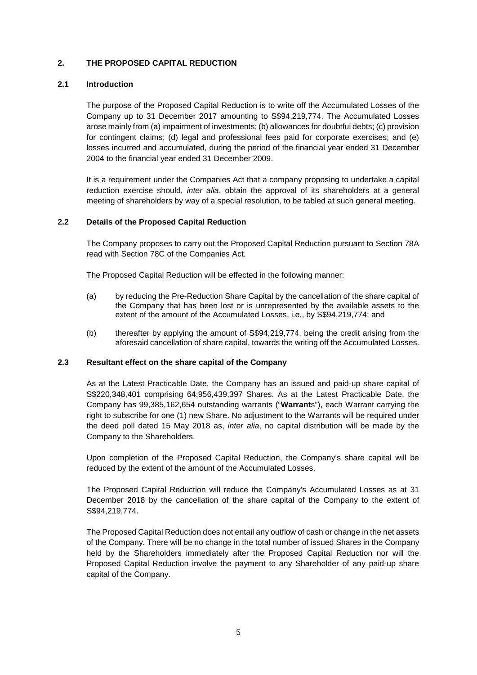#### **2. THE PROPOSED CAPITAL REDUCTION**

#### **2.1 Introduction**

The purpose of the Proposed Capital Reduction is to write off the Accumulated Losses of the Company up to 31 December 2017 amounting to S\$94,219,774. The Accumulated Losses arose mainly from (a) impairment of investments; (b) allowances for doubtful debts; (c) provision for contingent claims; (d) legal and professional fees paid for corporate exercises; and (e) losses incurred and accumulated, during the period of the financial year ended 31 December 2004 to the financial year ended 31 December 2009.

It is a requirement under the Companies Act that a company proposing to undertake a capital reduction exercise should, *inter alia*, obtain the approval of its shareholders at a general meeting of shareholders by way of a special resolution, to be tabled at such general meeting.

#### **2.2 Details of the Proposed Capital Reduction**

The Company proposes to carry out the Proposed Capital Reduction pursuant to Section 78A read with Section 78C of the Companies Act.

The Proposed Capital Reduction will be effected in the following manner:

- (a) by reducing the Pre-Reduction Share Capital by the cancellation of the share capital of the Company that has been lost or is unrepresented by the available assets to the extent of the amount of the Accumulated Losses, i.e., by S\$94,219,774; and
- (b) thereafter by applying the amount of S\$94,219,774, being the credit arising from the aforesaid cancellation of share capital, towards the writing off the Accumulated Losses.

#### **2.3 Resultant effect on the share capital of the Company**

As at the Latest Practicable Date, the Company has an issued and paid-up share capital of S\$220,348,401 comprising 64,956,439,397 Shares. As at the Latest Practicable Date, the Company has 99,385,162,654 outstanding warrants ("**Warrant**s"), each Warrant carrying the right to subscribe for one (1) new Share. No adjustment to the Warrants will be required under the deed poll dated 15 May 2018 as, *inter alia*, no capital distribution will be made by the Company to the Shareholders.

Upon completion of the Proposed Capital Reduction, the Company's share capital will be reduced by the extent of the amount of the Accumulated Losses.

The Proposed Capital Reduction will reduce the Company's Accumulated Losses as at 31 December 2018 by the cancellation of the share capital of the Company to the extent of S\$94,219,774.

The Proposed Capital Reduction does not entail any outflow of cash or change in the net assets of the Company. There will be no change in the total number of issued Shares in the Company held by the Shareholders immediately after the Proposed Capital Reduction nor will the Proposed Capital Reduction involve the payment to any Shareholder of any paid-up share capital of the Company.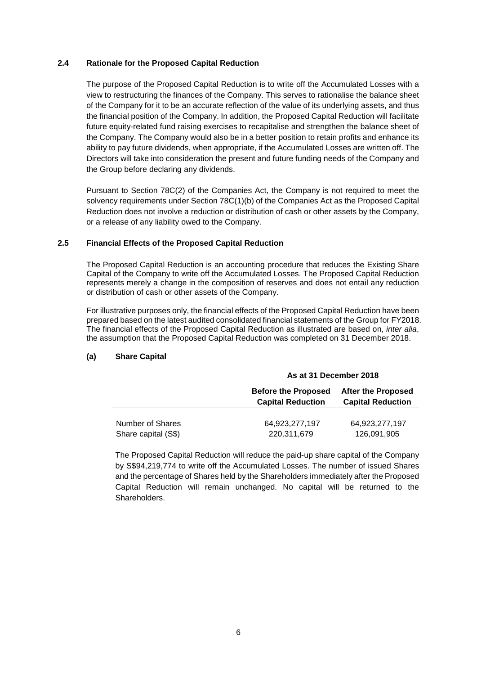#### **2.4 Rationale for the Proposed Capital Reduction**

The purpose of the Proposed Capital Reduction is to write off the Accumulated Losses with a view to restructuring the finances of the Company. This serves to rationalise the balance sheet of the Company for it to be an accurate reflection of the value of its underlying assets, and thus the financial position of the Company. In addition, the Proposed Capital Reduction will facilitate future equity-related fund raising exercises to recapitalise and strengthen the balance sheet of the Company. The Company would also be in a better position to retain profits and enhance its ability to pay future dividends, when appropriate, if the Accumulated Losses are written off. The Directors will take into consideration the present and future funding needs of the Company and the Group before declaring any dividends.

Pursuant to Section 78C(2) of the Companies Act, the Company is not required to meet the solvency requirements under Section 78C(1)(b) of the Companies Act as the Proposed Capital Reduction does not involve a reduction or distribution of cash or other assets by the Company, or a release of any liability owed to the Company.

#### **2.5 Financial Effects of the Proposed Capital Reduction**

The Proposed Capital Reduction is an accounting procedure that reduces the Existing Share Capital of the Company to write off the Accumulated Losses. The Proposed Capital Reduction represents merely a change in the composition of reserves and does not entail any reduction or distribution of cash or other assets of the Company.

For illustrative purposes only, the financial effects of the Proposed Capital Reduction have been prepared based on the latest audited consolidated financial statements of the Group for FY2018. The financial effects of the Proposed Capital Reduction as illustrated are based on, *inter alia*, the assumption that the Proposed Capital Reduction was completed on 31 December 2018.

### **(a) Share Capital**

|                     | As at 31 December 2018                                 |                                                       |  |
|---------------------|--------------------------------------------------------|-------------------------------------------------------|--|
|                     | <b>Before the Proposed</b><br><b>Capital Reduction</b> | <b>After the Proposed</b><br><b>Capital Reduction</b> |  |
| Number of Shares    | 64,923,277,197                                         | 64,923,277,197                                        |  |
| Share capital (S\$) | 220,311,679                                            | 126,091,905                                           |  |

The Proposed Capital Reduction will reduce the paid-up share capital of the Company by S\$94,219,774 to write off the Accumulated Losses. The number of issued Shares and the percentage of Shares held by the Shareholders immediately after the Proposed Capital Reduction will remain unchanged. No capital will be returned to the Shareholders.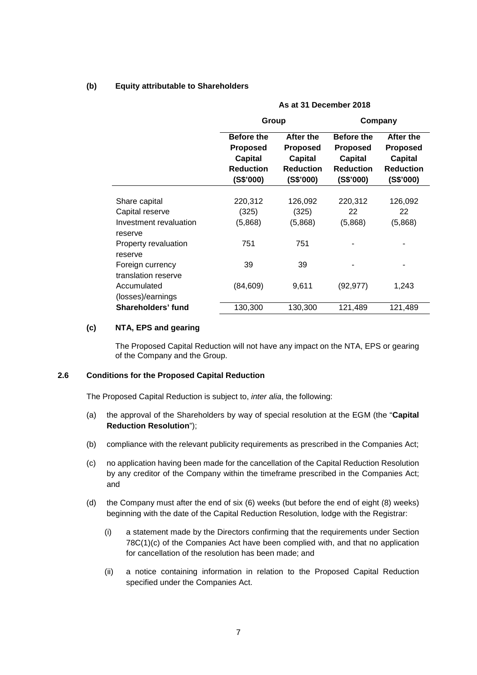**(b) Equity attributable to Shareholders** 

|                                         | As at 31 December 2018                                                           |                                                                          |                                                                                         |                                                                                 |  |
|-----------------------------------------|----------------------------------------------------------------------------------|--------------------------------------------------------------------------|-----------------------------------------------------------------------------------------|---------------------------------------------------------------------------------|--|
|                                         | Group                                                                            |                                                                          |                                                                                         | Company                                                                         |  |
|                                         | <b>Before the</b><br><b>Proposed</b><br>Capital<br><b>Reduction</b><br>(S\$'000) | After the<br><b>Proposed</b><br>Capital<br><b>Reduction</b><br>(S\$'000) | <b>Before the</b><br><b>Proposed</b><br><b>Capital</b><br><b>Reduction</b><br>(S\$'000) | After the<br><b>Proposed</b><br><b>Capital</b><br><b>Reduction</b><br>(S\$'000) |  |
| Share capital                           | 220,312                                                                          | 126,092                                                                  | 220,312                                                                                 | 126,092                                                                         |  |
| Capital reserve                         | (325)                                                                            | (325)                                                                    | 22                                                                                      | 22                                                                              |  |
| Investment revaluation<br>reserve       | (5,868)                                                                          | (5,868)                                                                  | (5,868)                                                                                 | (5,868)                                                                         |  |
| Property revaluation<br>reserve         | 751                                                                              | 751                                                                      |                                                                                         |                                                                                 |  |
| Foreign currency<br>translation reserve | 39                                                                               | 39                                                                       |                                                                                         |                                                                                 |  |
| Accumulated<br>(losses)/earnings        | (84, 609)                                                                        | 9,611                                                                    | (92, 977)                                                                               | 1,243                                                                           |  |
| Shareholders' fund                      | 130,300                                                                          | 130,300                                                                  | 121,489                                                                                 | 121,489                                                                         |  |

#### **(c) NTA, EPS and gearing**

The Proposed Capital Reduction will not have any impact on the NTA, EPS or gearing of the Company and the Group.

#### **2.6 Conditions for the Proposed Capital Reduction**

The Proposed Capital Reduction is subject to, *inter alia*, the following:

- (a) the approval of the Shareholders by way of special resolution at the EGM (the "**Capital Reduction Resolution**");
- (b) compliance with the relevant publicity requirements as prescribed in the Companies Act;
- (c) no application having been made for the cancellation of the Capital Reduction Resolution by any creditor of the Company within the timeframe prescribed in the Companies Act; and
- (d) the Company must after the end of six (6) weeks (but before the end of eight (8) weeks) beginning with the date of the Capital Reduction Resolution, lodge with the Registrar:
	- (i) a statement made by the Directors confirming that the requirements under Section 78C(1)(c) of the Companies Act have been complied with, and that no application for cancellation of the resolution has been made; and
	- (ii) a notice containing information in relation to the Proposed Capital Reduction specified under the Companies Act.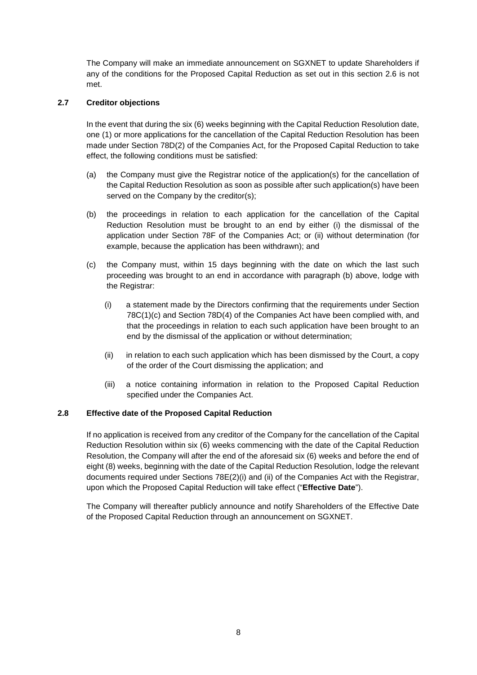The Company will make an immediate announcement on SGXNET to update Shareholders if any of the conditions for the Proposed Capital Reduction as set out in this section 2.6 is not met.

### **2.7 Creditor objections**

In the event that during the six (6) weeks beginning with the Capital Reduction Resolution date, one (1) or more applications for the cancellation of the Capital Reduction Resolution has been made under Section 78D(2) of the Companies Act, for the Proposed Capital Reduction to take effect, the following conditions must be satisfied:

- (a) the Company must give the Registrar notice of the application(s) for the cancellation of the Capital Reduction Resolution as soon as possible after such application(s) have been served on the Company by the creditor(s);
- (b) the proceedings in relation to each application for the cancellation of the Capital Reduction Resolution must be brought to an end by either (i) the dismissal of the application under Section 78F of the Companies Act; or (ii) without determination (for example, because the application has been withdrawn); and
- (c) the Company must, within 15 days beginning with the date on which the last such proceeding was brought to an end in accordance with paragraph (b) above, lodge with the Registrar:
	- (i) a statement made by the Directors confirming that the requirements under Section 78C(1)(c) and Section 78D(4) of the Companies Act have been complied with, and that the proceedings in relation to each such application have been brought to an end by the dismissal of the application or without determination;
	- (ii) in relation to each such application which has been dismissed by the Court, a copy of the order of the Court dismissing the application; and
	- (iii) a notice containing information in relation to the Proposed Capital Reduction specified under the Companies Act.

### **2.8 Effective date of the Proposed Capital Reduction**

If no application is received from any creditor of the Company for the cancellation of the Capital Reduction Resolution within six (6) weeks commencing with the date of the Capital Reduction Resolution, the Company will after the end of the aforesaid six (6) weeks and before the end of eight (8) weeks, beginning with the date of the Capital Reduction Resolution, lodge the relevant documents required under Sections 78E(2)(i) and (ii) of the Companies Act with the Registrar, upon which the Proposed Capital Reduction will take effect ("**Effective Date**").

The Company will thereafter publicly announce and notify Shareholders of the Effective Date of the Proposed Capital Reduction through an announcement on SGXNET.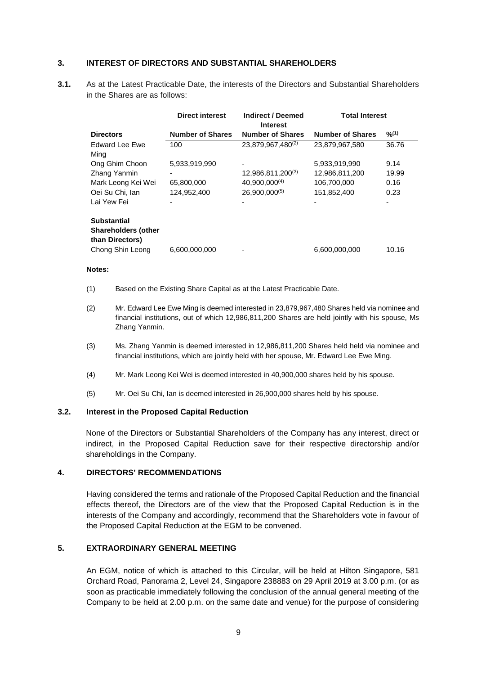#### **3. INTEREST OF DIRECTORS AND SUBSTANTIAL SHAREHOLDERS**

**3.1.** As at the Latest Practicable Date, the interests of the Directors and Substantial Shareholders in the Shares are as follows:

|                                                                     | <b>Direct interest</b>  | <b>Indirect / Deemed</b><br><b>Interest</b> | <b>Total Interest</b>   |        |
|---------------------------------------------------------------------|-------------------------|---------------------------------------------|-------------------------|--------|
| <b>Directors</b>                                                    | <b>Number of Shares</b> | <b>Number of Shares</b>                     | <b>Number of Shares</b> | 9/2(1) |
| Edward Lee Ewe                                                      | 100                     | 23,879,967,480 <sup>(2)</sup>               | 23,879,967,580          | 36.76  |
| Ming                                                                |                         |                                             |                         |        |
| Ong Ghim Choon                                                      | 5,933,919,990           |                                             | 5,933,919,990           | 9.14   |
| Zhang Yanmin                                                        |                         | 12,986,811,200(3)                           | 12,986,811,200          | 19.99  |
| Mark Leong Kei Wei                                                  | 65,800,000              | 40,900,000 <sup>(4)</sup>                   | 106,700,000             | 0.16   |
| Oei Su Chi, Ian                                                     | 124,952,400             | $26.900.000^{(5)}$                          | 151,852,400             | 0.23   |
| Lai Yew Fei                                                         |                         |                                             |                         | ٠      |
| <b>Substantial</b><br><b>Shareholders (other</b><br>than Directors) |                         |                                             |                         |        |
| Chong Shin Leong                                                    | 6,600,000,000           |                                             | 6,600,000,000           | 10.16  |

#### **Notes:**

- (1) Based on the Existing Share Capital as at the Latest Practicable Date.
- (2) Mr. Edward Lee Ewe Ming is deemed interested in 23,879,967,480 Shares held via nominee and financial institutions, out of which 12,986,811,200 Shares are held jointly with his spouse, Ms Zhang Yanmin.
- (3) Ms. Zhang Yanmin is deemed interested in 12,986,811,200 Shares held held via nominee and financial institutions, which are jointly held with her spouse, Mr. Edward Lee Ewe Ming.
- (4) Mr. Mark Leong Kei Wei is deemed interested in 40,900,000 shares held by his spouse.
- (5) Mr. Oei Su Chi, Ian is deemed interested in 26,900,000 shares held by his spouse.

#### **3.2. Interest in the Proposed Capital Reduction**

None of the Directors or Substantial Shareholders of the Company has any interest, direct or indirect, in the Proposed Capital Reduction save for their respective directorship and/or shareholdings in the Company.

#### **4. DIRECTORS' RECOMMENDATIONS**

Having considered the terms and rationale of the Proposed Capital Reduction and the financial effects thereof, the Directors are of the view that the Proposed Capital Reduction is in the interests of the Company and accordingly, recommend that the Shareholders vote in favour of the Proposed Capital Reduction at the EGM to be convened.

### **5. EXTRAORDINARY GENERAL MEETING**

An EGM, notice of which is attached to this Circular, will be held at Hilton Singapore, 581 Orchard Road, Panorama 2, Level 24, Singapore 238883 on 29 April 2019 at 3.00 p.m. (or as soon as practicable immediately following the conclusion of the annual general meeting of the Company to be held at 2.00 p.m. on the same date and venue) for the purpose of considering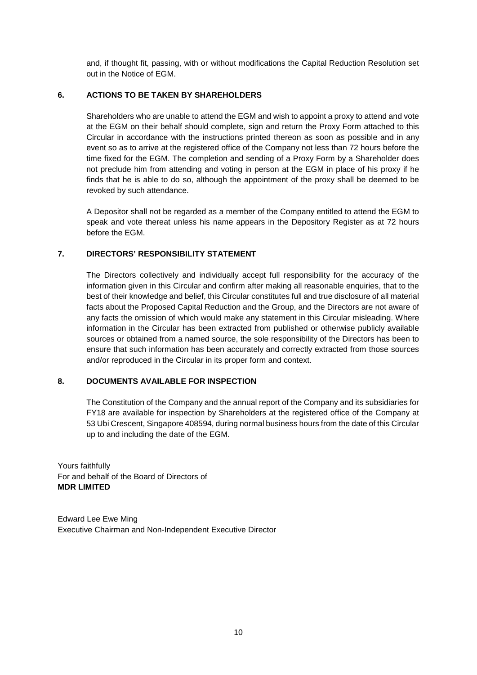and, if thought fit, passing, with or without modifications the Capital Reduction Resolution set out in the Notice of EGM.

### **6. ACTIONS TO BE TAKEN BY SHAREHOLDERS**

Shareholders who are unable to attend the EGM and wish to appoint a proxy to attend and vote at the EGM on their behalf should complete, sign and return the Proxy Form attached to this Circular in accordance with the instructions printed thereon as soon as possible and in any event so as to arrive at the registered office of the Company not less than 72 hours before the time fixed for the EGM. The completion and sending of a Proxy Form by a Shareholder does not preclude him from attending and voting in person at the EGM in place of his proxy if he finds that he is able to do so, although the appointment of the proxy shall be deemed to be revoked by such attendance.

A Depositor shall not be regarded as a member of the Company entitled to attend the EGM to speak and vote thereat unless his name appears in the Depository Register as at 72 hours before the EGM.

### **7. DIRECTORS' RESPONSIBILITY STATEMENT**

The Directors collectively and individually accept full responsibility for the accuracy of the information given in this Circular and confirm after making all reasonable enquiries, that to the best of their knowledge and belief, this Circular constitutes full and true disclosure of all material facts about the Proposed Capital Reduction and the Group, and the Directors are not aware of any facts the omission of which would make any statement in this Circular misleading. Where information in the Circular has been extracted from published or otherwise publicly available sources or obtained from a named source, the sole responsibility of the Directors has been to ensure that such information has been accurately and correctly extracted from those sources and/or reproduced in the Circular in its proper form and context.

### **8. DOCUMENTS AVAILABLE FOR INSPECTION**

The Constitution of the Company and the annual report of the Company and its subsidiaries for FY18 are available for inspection by Shareholders at the registered office of the Company at 53 Ubi Crescent, Singapore 408594, during normal business hours from the date of this Circular up to and including the date of the EGM.

Yours faithfully For and behalf of the Board of Directors of **MDR LIMITED**

Edward Lee Ewe Ming Executive Chairman and Non-Independent Executive Director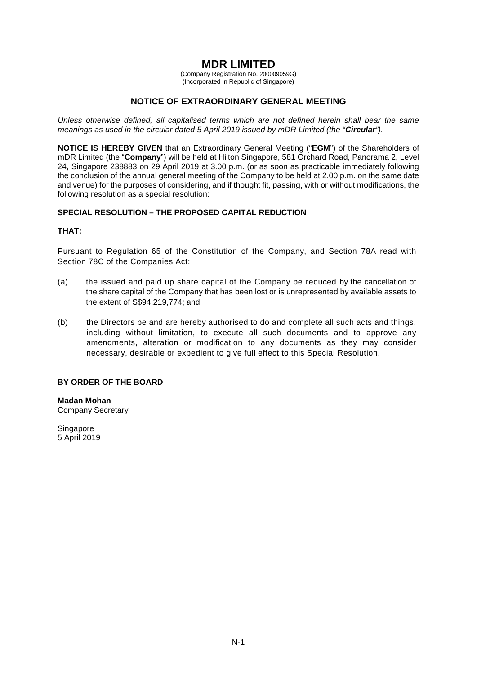# **MDR LIMITED**

(Company Registration No. 200009059G) (Incorporated in Republic of Singapore)

### **NOTICE OF EXTRAORDINARY GENERAL MEETING**

*Unless otherwise defined, all capitalised terms which are not defined herein shall bear the same meanings as used in the circular dated 5 April 2019 issued by mDR Limited (the "Circular").*

**NOTICE IS HEREBY GIVEN** that an Extraordinary General Meeting ("**EGM**") of the Shareholders of mDR Limited (the "**Company**") will be held at Hilton Singapore, 581 Orchard Road, Panorama 2, Level 24, Singapore 238883 on 29 April 2019 at 3.00 p.m. (or as soon as practicable immediately following the conclusion of the annual general meeting of the Company to be held at 2.00 p.m. on the same date and venue) for the purposes of considering, and if thought fit, passing, with or without modifications, the following resolution as a special resolution:

### **SPECIAL RESOLUTION – THE PROPOSED CAPITAL REDUCTION**

#### **THAT:**

Pursuant to Regulation 65 of the Constitution of the Company, and Section 78A read with Section 78C of the Companies Act:

- (a) the issued and paid up share capital of the Company be reduced by the cancellation of the share capital of the Company that has been lost or is unrepresented by available assets to the extent of S\$94,219,774; and
- (b) the Directors be and are hereby authorised to do and complete all such acts and things, including without limitation, to execute all such documents and to approve any amendments, alteration or modification to any documents as they may consider necessary, desirable or expedient to give full effect to this Special Resolution.

### **BY ORDER OF THE BOARD**

**Madan Mohan** Company Secretary

**Singapore** 5 April 2019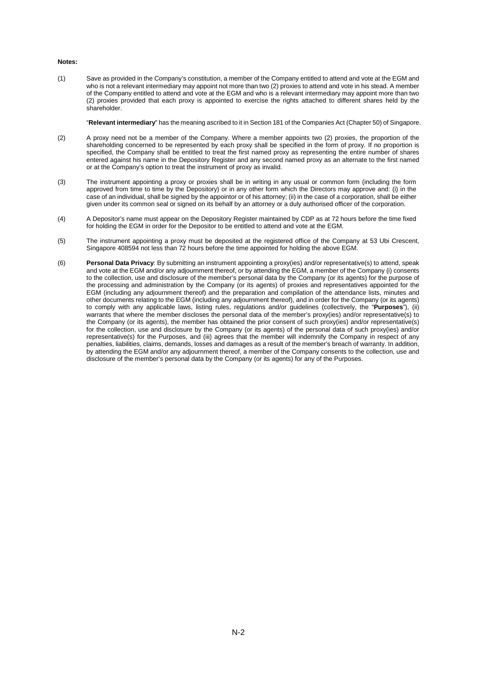#### **Notes:**

(1) Save as provided in the Company's constitution, a member of the Company entitled to attend and vote at the EGM and who is not a relevant intermediary may appoint not more than two (2) proxies to attend and vote in his stead. A member of the Company entitled to attend and vote at the EGM and who is a relevant intermediary may appoint more than two (2) proxies provided that each proxy is appointed to exercise the rights attached to different shares held by the shareholder.

"**Relevant intermediary**" has the meaning ascribed to it in Section 181 of the Companies Act (Chapter 50) of Singapore.

- (2) A proxy need not be a member of the Company. Where a member appoints two (2) proxies, the proportion of the shareholding concerned to be represented by each proxy shall be specified in the form of proxy. If no proportion is specified, the Company shall be entitled to treat the first named proxy as representing the entire number of shares entered against his name in the Depository Register and any second named proxy as an alternate to the first named or at the Company's option to treat the instrument of proxy as invalid.
- (3) The instrument appointing a proxy or proxies shall be in writing in any usual or common form (including the form approved from time to time by the Depository) or in any other form which the Directors may approve and: (i) in the case of an individual, shall be signed by the appointor or of his attorney; (ii) in the case of a corporation, shall be either given under its common seal or signed on its behalf by an attorney or a duly authorised officer of the corporation.
- (4) A Depositor's name must appear on the Depository Register maintained by CDP as at 72 hours before the time fixed for holding the EGM in order for the Depositor to be entitled to attend and vote at the EGM.
- (5) The instrument appointing a proxy must be deposited at the registered office of the Company at 53 Ubi Crescent, Singapore 408594 not less than 72 hours before the time appointed for holding the above EGM.
- (6) **Personal Data Privacy**: By submitting an instrument appointing a proxy(ies) and/or representative(s) to attend, speak and vote at the EGM and/or any adjournment thereof, or by attending the EGM, a member of the Company (i) consents to the collection, use and disclosure of the member's personal data by the Company (or its agents) for the purpose of the processing and administration by the Company (or its agents) of proxies and representatives appointed for the EGM (including any adjournment thereof) and the preparation and compilation of the attendance lists, minutes and other documents relating to the EGM (including any adjournment thereof), and in order for the Company (or its agents) to comply with any applicable laws, listing rules, regulations and/or guidelines (collectively, the "**Purposes**"), (ii) warrants that where the member discloses the personal data of the member's proxy(ies) and/or representative(s) to the Company (or its agents), the member has obtained the prior consent of such proxy(ies) and/or representative(s) for the collection, use and disclosure by the Company (or its agents) of the personal data of such proxy(ies) and/or representative(s) for the Purposes, and (iii) agrees that the member will indemnify the Company in respect of any penalties, liabilities, claims, demands, losses and damages as a result of the member's breach of warranty. In addition, by attending the EGM and/or any adjournment thereof, a member of the Company consents to the collection, use and disclosure of the member's personal data by the Company (or its agents) for any of the Purposes.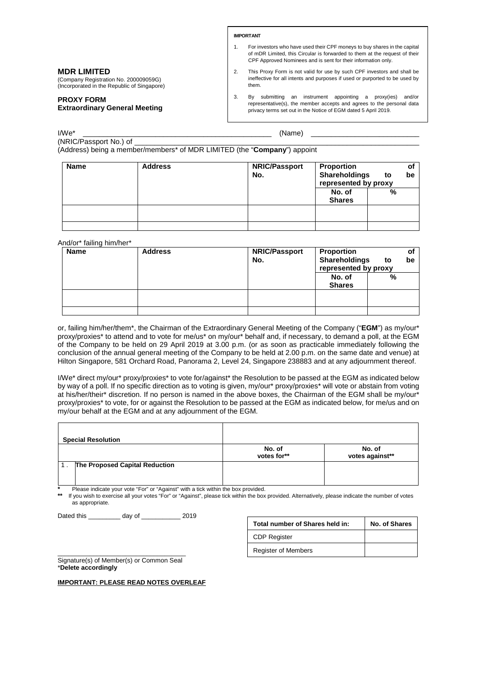**IMPORTANT**

- 1. For investors who have used their CPF moneys to buy shares in the capital of mDR Limited, this Circular is forwarded to them at the request of their CPF Approved Nominees and is sent for their information only.
- 2. This Proxy Form is not valid for use by such CPF investors and shall be ineffective for all intents and purposes if used or purported to be used by them.
- 3. By submitting an instrument appointing a proxy(ies) and/or representative(s), the member accepts and agrees to the personal data privacy terms set out in the Notice of EGM dated 5 April 2019.

I/We\* \_\_\_\_\_\_\_\_\_\_\_\_\_\_\_\_\_\_\_\_\_\_\_\_\_\_\_\_\_\_\_\_\_\_\_\_\_\_\_\_\_\_\_\_\_\_\_ (Name) \_\_\_\_\_\_\_\_\_\_\_\_\_\_\_\_\_\_\_\_\_\_\_\_\_\_\_

(NRIC/Passport No.) of

**MDR LIMITED**

**PROXY FORM** 

(Company Registration No. 200009059G) (Incorporated in the Republic of Singapore)

**Extraordinary General Meeting** 

(Address) being a member/members\* of MDR LIMITED (the "**Company**") appoint

| <b>Name</b> | <b>Address</b> | <b>NRIC/Passport</b><br>No. | Proportion<br><b>Shareholdings</b><br>represented by proxy | to | οf<br>be |
|-------------|----------------|-----------------------------|------------------------------------------------------------|----|----------|
|             |                |                             | No. of<br><b>Shares</b>                                    | %  |          |
|             |                |                             |                                                            |    |          |
|             |                |                             |                                                            |    |          |

And/or\* failing him/her\*

| <b>Name</b> | <b>Address</b> | <b>NRIC/Passport</b><br>No. | <b>Proportion</b><br><b>Shareholdings</b><br>represented by proxy<br>No. of | to<br>% | Οl<br>be |
|-------------|----------------|-----------------------------|-----------------------------------------------------------------------------|---------|----------|
|             |                |                             | <b>Shares</b>                                                               |         |          |
|             |                |                             |                                                                             |         |          |
|             |                |                             |                                                                             |         |          |

or, failing him/her/them\*, the Chairman of the Extraordinary General Meeting of the Company ("**EGM**") as my/our\* proxy/proxies\* to attend and to vote for me/us\* on my/our\* behalf and, if necessary, to demand a poll, at the EGM of the Company to be held on 29 April 2019 at 3.00 p.m. (or as soon as practicable immediately following the conclusion of the annual general meeting of the Company to be held at 2.00 p.m. on the same date and venue) at Hilton Singapore, 581 Orchard Road, Panorama 2, Level 24, Singapore 238883 and at any adjournment thereof.

I/We\* direct my/our\* proxy/proxies\* to vote for/against\* the Resolution to be passed at the EGM as indicated below by way of a poll. If no specific direction as to voting is given, my/our\* proxy/proxies\* will vote or abstain from voting at his/her/their\* discretion. If no person is named in the above boxes, the Chairman of the EGM shall be my/our\* proxy/proxies\* to vote, for or against the Resolution to be passed at the EGM as indicated below, for me/us and on my/our behalf at the EGM and at any adjournment of the EGM.

| <b>Special Resolution</b>      |                       |                           |
|--------------------------------|-----------------------|---------------------------|
|                                | No. of<br>votes for** | No. of<br>votes against** |
| The Proposed Capital Reduction |                       |                           |

**\*** Please indicate your vote "For" or "Against" with a tick within the box provided.

**\*\*** If you wish to exercise all your votes "For" or "Against", please tick within the box provided. Alternatively, please indicate the number of votes as appropriate.

Dated this \_\_\_\_\_\_\_\_\_ day of \_\_\_\_\_\_\_\_\_ 2019

| Total number of Shares held in: | No. of Shares |
|---------------------------------|---------------|
| <b>CDP Register</b>             |               |
| <b>Register of Members</b>      |               |

\_\_\_\_\_\_\_\_\_\_\_\_\_\_\_\_\_\_\_\_\_\_\_\_\_\_\_\_\_\_\_\_\_\_\_\_ Signature(s) of Member(s) or Common Seal \***Delete accordingly** 

**IMPORTANT: PLEASE READ NOTES OVERLEAF**